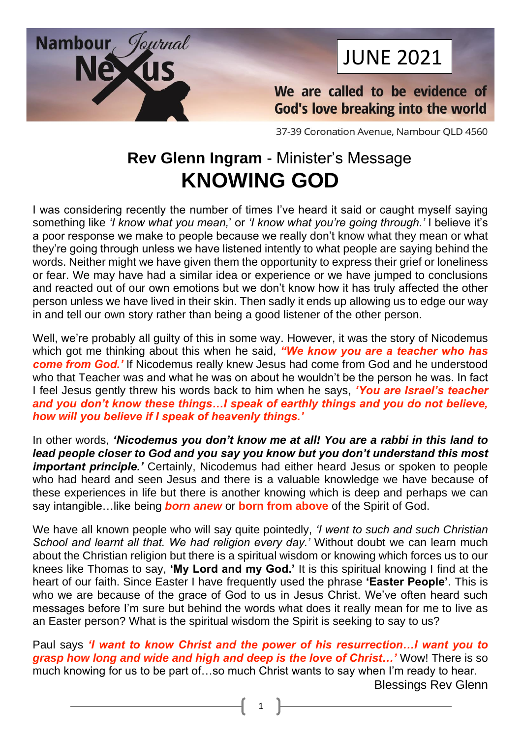

# JUNE 2021

We are called to be evidence of **God's love breaking into the world** 

37-39 Coronation Avenue, Nambour QLD 4560

# **Rev Glenn Ingram** - Minister's Message **KNOWING GOD**

I was considering recently the number of times I've heard it said or caught myself saying something like *'I know what you mean,*' or *'I know what you're going through.'* I believe it's a poor response we make to people because we really don't know what they mean or what they're going through unless we have listened intently to what people are saying behind the words. Neither might we have given them the opportunity to express their grief or loneliness or fear. We may have had a similar idea or experience or we have jumped to conclusions and reacted out of our own emotions but we don't know how it has truly affected the other person unless we have lived in their skin. Then sadly it ends up allowing us to edge our way in and tell our own story rather than being a good listener of the other person.

Well, we're probably all guilty of this in some way. However, it was the story of Nicodemus which got me thinking about this when he said, *"We know you are a teacher who has come from God.'* If Nicodemus really knew Jesus had come from God and he understood who that Teacher was and what he was on about he wouldn't be the person he was. In fact I feel Jesus gently threw his words back to him when he says, *'You are Israel's teacher and you don't know these things…I speak of earthly things and you do not believe, how will you believe if I speak of heavenly things.'*

In other words, *'Nicodemus you don't know me at all! You are a rabbi in this land to lead people closer to God and you say you know but you don't understand this most important principle.'* Certainly, Nicodemus had either heard Jesus or spoken to people who had heard and seen Jesus and there is a valuable knowledge we have because of these experiences in life but there is another knowing which is deep and perhaps we can say intangible…like being *born anew* or **born from above** of the Spirit of God.

We have all known people who will say quite pointedly, *'I went to such and such Christian School and learnt all that. We had religion every day.'* Without doubt we can learn much about the Christian religion but there is a spiritual wisdom or knowing which forces us to our knees like Thomas to say, **'My Lord and my God.'** It is this spiritual knowing I find at the heart of our faith. Since Easter I have frequently used the phrase **'Easter People'**. This is who we are because of the grace of God to us in Jesus Christ. We've often heard such messages before I'm sure but behind the words what does it really mean for me to live as an Easter person? What is the spiritual wisdom the Spirit is seeking to say to us?

Paul says *'I want to know Christ and the power of his resurrection…I want you to grasp how long and wide and high and deep is the love of Christ…'* Wow! There is so much knowing for us to be part of…so much Christ wants to say when I'm ready to hear. Blessings Rev Glenn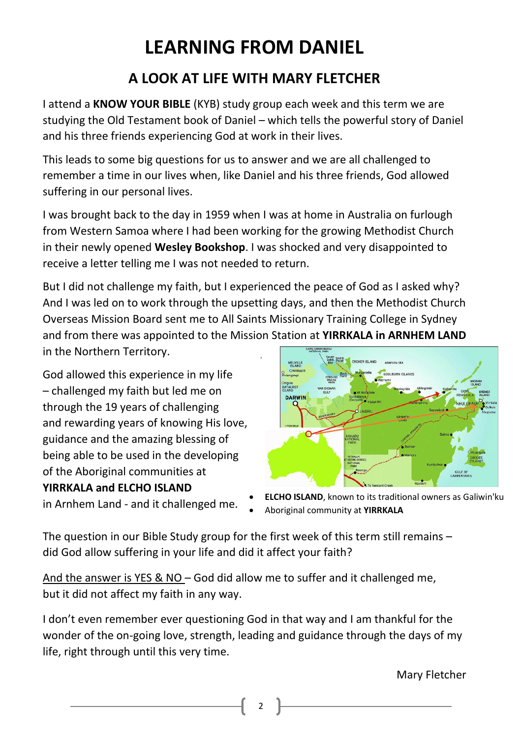# **LEARNING FROM DANIEL**

# **A LOOK AT LIFE WITH MARY FLETCHER**

I attend a **KNOW YOUR BIBLE** (KYB) study group each week and this term we are studying the Old Testament book of Daniel – which tells the powerful story of Daniel and his three friends experiencing God at work in their lives.

This leads to some big questions for us to answer and we are all challenged to remember a time in our lives when, like Daniel and his three friends, God allowed suffering in our personal lives.

I was brought back to the day in 1959 when I was at home in Australia on furlough from Western Samoa where I had been working for the growing Methodist Church in their newly opened **Wesley Bookshop**. I was shocked and very disappointed to receive a letter telling me I was not needed to return.

But I did not challenge my faith, but I experienced the peace of God as I asked why? And I was led on to work through the upsetting days, and then the Methodist Church Overseas Mission Board sent me to All Saints Missionary Training College in Sydney and from there was appointed to the Mission Station at **YIRRKALA in ARNHEM LAND** in the Northern Territory.

God allowed this experience in my life – challenged my faith but led me on through the 19 years of challenging and rewarding years of knowing His love, guidance and the amazing blessing of being able to be used in the developing of the Aboriginal communities at **YIRRKALA and ELCHO ISLAND**

in Arnhem Land - and it challenged me.



**ELCHO ISLAND**, known to its traditional owners as Galiwin'ku

• [Aboriginal](https://en.wikipedia.org/wiki/Aboriginal_Australians) community at **YIRRKALA**

The question in our Bible Study group for the first week of this term still remains – did God allow suffering in your life and did it affect your faith?

And the answer is YES & NO – God did allow me to suffer and it challenged me, but it did not affect my faith in any way.

I don't even remember ever questioning God in that way and I am thankful for the wonder of the on-going love, strength, leading and guidance through the days of my life, right through until this very time.

 $\overline{\mathbf{c}}$ 

Mary Fletcher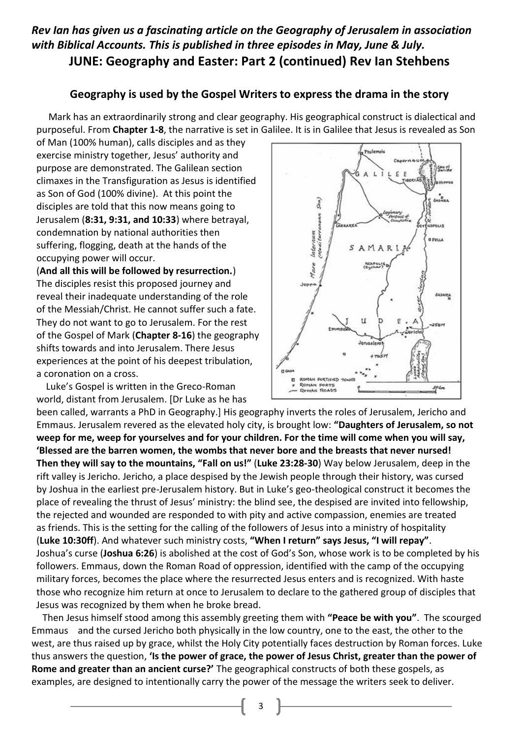#### *Rev Ian has given us a fascinating article on the Geography of Jerusalem in association with Biblical Accounts. This is published in three episodes in May, June & July.*  **JUNE: Geography and Easter: Part 2 (continued) Rev Ian Stehbens**

#### **Geography is used by the Gospel Writers to express the drama in the story**

 Mark has an extraordinarily strong and clear geography. His geographical construct is dialectical and purposeful. From **Chapter 1-8**, the narrative is set in Galilee. It is in Galilee that Jesus is revealed as Son

of Man (100% human), calls disciples and as they exercise ministry together, Jesus' authority and purpose are demonstrated. The Galilean section climaxes in the Transfiguration as Jesus is identified as Son of God (100% divine). At this point the disciples are told that this now means going to Jerusalem (**8:31, 9:31, and 10:33**) where betrayal, condemnation by national authorities then suffering, flogging, death at the hands of the occupying power will occur.

(**And all this will be followed by resurrection.**) The disciples resist this proposed journey and reveal their inadequate understanding of the role of the Messiah/Christ. He cannot suffer such a fate. They do not want to go to Jerusalem. For the rest of the Gospel of Mark (**Chapter 8-16**) the geography shifts towards and into Jerusalem. There Jesus experiences at the point of his deepest tribulation, a coronation on a cross.

 Luke's Gospel is written in the Greco-Roman world, distant from Jerusalem. [Dr Luke as he has



been called, warrants a PhD in Geography.] His geography inverts the roles of Jerusalem, Jericho and Emmaus. Jerusalem revered as the elevated holy city, is brought low: **"Daughters of Jerusalem, so not weep for me, weep for yourselves and for your children. For the time will come when you will say, 'Blessed are the barren women, the wombs that never bore and the breasts that never nursed! Then they will say to the mountains, "Fall on us!"** (**Luke 23:28-30**) Way below Jerusalem, deep in the rift valley is Jericho. Jericho, a place despised by the Jewish people through their history, was cursed by Joshua in the earliest pre-Jerusalem history. But in Luke's geo-theological construct it becomes the place of revealing the thrust of Jesus' ministry: the blind see, the despised are invited into fellowship, the rejected and wounded are responded to with pity and active compassion, enemies are treated as friends. This is the setting for the calling of the followers of Jesus into a ministry of hospitality (**Luke 10:30ff**). And whatever such ministry costs, **"When I return" says Jesus, "I will repay"**. Joshua's curse (**Joshua 6:26**) is abolished at the cost of God's Son, whose work is to be completed by his followers. Emmaus, down the Roman Road of oppression, identified with the camp of the occupying military forces, becomes the place where the resurrected Jesus enters and is recognized. With haste those who recognize him return at once to Jerusalem to declare to the gathered group of disciples that Jesus was recognized by them when he broke bread.

 Then Jesus himself stood among this assembly greeting them with **"Peace be with you"**. The scourged Emmaus and the cursed Jericho both physically in the low country, one to the east, the other to the west, are thus raised up by grace, whilst the Holy City potentially faces destruction by Roman forces. Luke thus answers the question, **'Is the power of grace, the power of Jesus Christ, greater than the power of Rome and greater than an ancient curse?'** The geographical constructs of both these gospels, as examples, are designed to intentionally carry the power of the message the writers seek to deliver.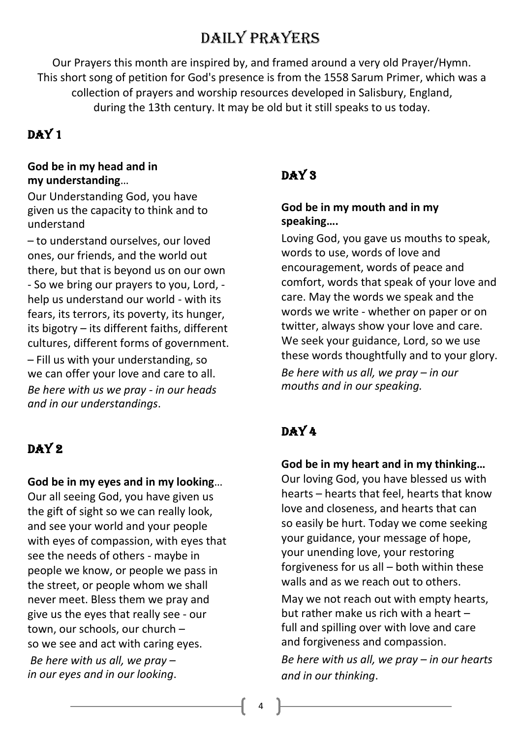# Daily Prayers

Our Prayers this month are inspired by, and framed around a very old Prayer/Hymn. This short song of petition for God's presence is from the 1558 Sarum Primer, which was a collection of prayers and worship resources developed in Salisbury, England, during the 13th century. It may be old but it still speaks to us today.

### DAY 1

#### **God be in my head and in my understanding**…

Our Understanding God, you have given us the capacity to think and to understand

– to understand ourselves, our loved ones, our friends, and the world out there, but that is beyond us on our own - So we bring our prayers to you, Lord, help us understand our world - with its fears, its terrors, its poverty, its hunger, its bigotry – its different faiths, different cultures, different forms of government.

– Fill us with your understanding, so we can offer your love and care to all. *Be here with us we pray - in our heads and in our understandings*.

# DAY<sub>2</sub>

#### **God be in my eyes and in my looking**…

Our all seeing God, you have given us the gift of sight so we can really look, and see your world and your people with eyes of compassion, with eyes that see the needs of others - maybe in people we know, or people we pass in the street, or people whom we shall never meet. Bless them we pray and give us the eyes that really see - our town, our schools, our church – so we see and act with caring eyes. *Be here with us all, we pray – in our eyes and in our looking*.

## DAY<sub>3</sub>

#### **God be in my mouth and in my speaking….**

Loving God, you gave us mouths to speak, words to use, words of love and encouragement, words of peace and comfort, words that speak of your love and care. May the words we speak and the words we write - whether on paper or on twitter, always show your love and care. We seek your guidance, Lord, so we use these words thoughtfully and to your glory. *Be here with us all, we pray – in our mouths and in our speaking.*

# DAY 4

#### **God be in my heart and in my thinking…**  Our loving God, you have blessed us with hearts – hearts that feel, hearts that know love and closeness, and hearts that can so easily be hurt. Today we come seeking your guidance, your message of hope, your unending love, your restoring forgiveness for us all – both within these walls and as we reach out to others. May we not reach out with empty hearts, but rather make us rich with a heart – full and spilling over with love and care

and forgiveness and compassion. *Be here with us all, we pray – in our hearts and in our thinking*.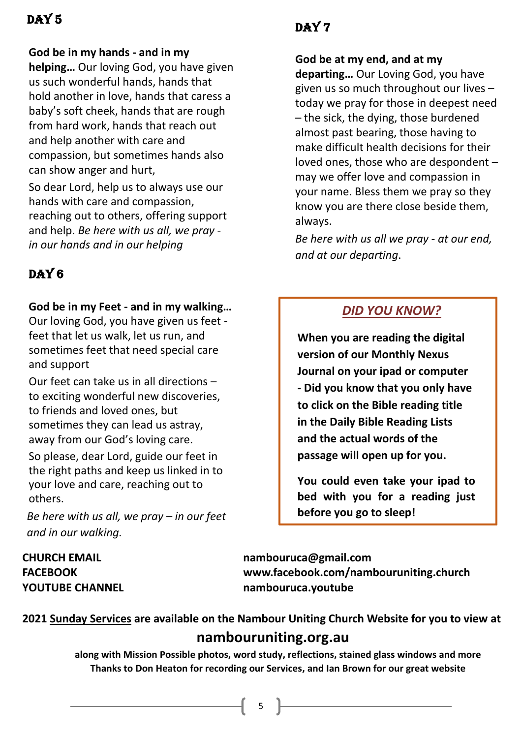## DAY 5

#### **God be in my hands - and in my**

**helping…** Our loving God, you have given us such wonderful hands, hands that hold another in love, hands that caress a baby's soft cheek, hands that are rough from hard work, hands that reach out and help another with care and compassion, but sometimes hands also can show anger and hurt,

So dear Lord, help us to always use our hands with care and compassion, reaching out to others, offering support and help. *Be here with us all, we pray in our hands and in our helping*

# DAY<sub>6</sub>

#### **God be in my Feet - and in my walking…**

Our loving God, you have given us feet feet that let us walk, let us run, and sometimes feet that need special care and support

Our feet can take us in all directions – to exciting wonderful new discoveries, to friends and loved ones, but sometimes they can lead us astray, away from our God's loving care.

So please, dear Lord, guide our feet in the right paths and keep us linked in to your love and care, reaching out to others.

*Be here with us all, we pray – in our feet and in our walking.*

# DAY 7

**God be at my end, and at my** 

**departing…** Our Loving God, you have given us so much throughout our lives – today we pray for those in deepest need – the sick, the dying, those burdened almost past bearing, those having to make difficult health decisions for their loved ones, those who are despondent – may we offer love and compassion in your name. Bless them we pray so they know you are there close beside them, always.

*Be here with us all we pray - at our end, and at our departing*.

## *DID YOU KNOW?*

**When you are reading the digital version of our Monthly Nexus Journal on your ipad or computer - Did you know that you only have to click on the Bible reading title in the Daily Bible Reading Lists and the actual words of the passage will open up for you.**

**You could even take your ipad to bed with you for a reading just before you go to sleep!**

**CHURCH EMAIL [nambouruca@gmail.com](mailto:nambouruca@gmail.com) FACEBOOK [www.facebook.com/nambouruniting.church](http://www.facebook.com/nambouruniting.church) YOUTUBE CHANNEL nambouruca.youtube**

**2021 Sunday Services are available on the Nambour Uniting Church Website for you to view at nambouruniting.org.au**

> **along with Mission Possible photos, word study, reflections, stained glass windows and more Thanks to Don Heaton for recording our Services, and Ian Brown for our great website**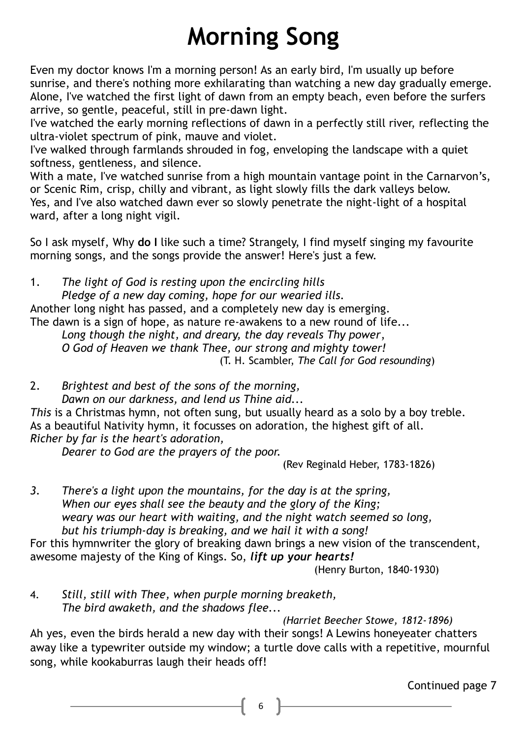# **Morning Song**

Even my doctor knows I'm a morning person! As an early bird, I'm usually up before sunrise, and there's nothing more exhilarating than watching a new day gradually emerge. Alone, I've watched the first light of dawn from an empty beach, even before the surfers arrive, so gentle, peaceful, still in pre-dawn light.

I've watched the early morning reflections of dawn in a perfectly still river, reflecting the ultra-violet spectrum of pink, mauve and violet.

I've walked through farmlands shrouded in fog, enveloping the landscape with a quiet softness, gentleness, and silence.

With a mate, I've watched sunrise from a high mountain vantage point in the Carnarvon's, or Scenic Rim, crisp, chilly and vibrant, as light slowly fills the dark valleys below. Yes, and I've also watched dawn ever so slowly penetrate the night-light of a hospital ward, after a long night vigil.

So I ask myself, Why **do I** like such a time? Strangely, I find myself singing my favourite morning songs, and the songs provide the answer! Here's just a few.

1. *The light of God is resting upon the encircling hills*

*Pledge of a new day coming, hope for our wearied ills.*

Another long night has passed, and a completely new day is emerging.

The dawn is a sign of hope, as nature re-awakens to a new round of life...

*Long though the night, and dreary, the day reveals Thy power*, *O God of Heaven we thank Thee, our strong and mighty tower!* (T. H. Scambler, *The Call for God resounding*)

2. *Brightest and best of the sons of the morning, Dawn on our darkness, and lend us Thine aid...*

*This* is a Christmas hymn, not often sung, but usually heard as a solo by a boy treble. As a beautiful Nativity hymn, it focusses on adoration, the highest gift of all. *Richer by far is the heart's adoration,*

*Dearer to God are the prayers of the poor.*

(Rev Reginald Heber, 1783-1826)

*3. There's a light upon the mountains, for the day is at the spring, When our eyes shall see the beauty and the glory of the King; weary was our heart with waiting, and the night watch seemed so long, but his triumph-day is breaking, and we hail it with a song!* 

For this hymnwriter the glory of breaking dawn brings a new vision of the transcendent, awesome majesty of the King of Kings. So, *lift up your hearts!*

(Henry Burton, 1840-1930)

4. *Still, still with Thee, when purple morning breaketh, The bird awaketh, and the shadows flee...*

*(Harriet Beecher Stowe, 1812-1896)*

Ah yes, even the birds herald a new day with their songs! A Lewins honeyeater chatters away like a typewriter outside my window; a turtle dove calls with a repetitive, mournful song, while kookaburras laugh their heads off!

Continued page 7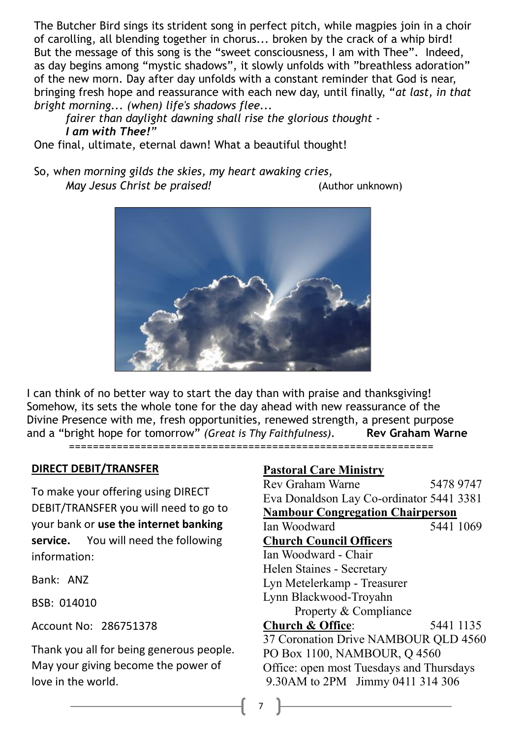The Butcher Bird sings its strident song in perfect pitch, while magpies join in a choir of carolling, all blending together in chorus... broken by the crack of a whip bird! But the message of this song is the "sweet consciousness, I am with Thee". Indeed, as day begins among "mystic shadows", it slowly unfolds with "breathless adoration" of the new morn. Day after day unfolds with a constant reminder that God is near, bringing fresh hope and reassurance with each new day, until finally, "*at last, in that bright morning... (when) life's shadows flee...* 

*fairer than daylight dawning shall rise the glorious thought - I am with Thee!"* 

One final, ultimate, eternal dawn! What a beautiful thought!

So, w*hen morning gilds the skies, my heart awaking cries, May Jesus Christ be praised!* (Author unknown)



I can think of no better way to start the day than with praise and thanksgiving! Somehow, its sets the whole tone for the day ahead with new reassurance of the Divine Presence with me, fresh opportunities, renewed strength, a present purpose and a "bright hope for tomorrow" *(Great is Thy Faithfulness).* **Rev Graham Warne** =============================================================

#### **DIRECT DEBIT/TRANSFER**

To make your offering using DIRECT DEBIT/TRANSFER you will need to go to your bank or **use the internet banking service.** You will need the following information:

Bank: ANZ

BSB: 014010

Account No: 286751378

Thank you all for being generous people. May your giving become the power of love in the world.

#### **Pastoral Care Ministry**

Rev Graham Warne 5478 9747 Eva Donaldson Lay Co-ordinator 5441 3381 **Nambour Congregation Chairperson** Ian Woodward 5441 1069 **Church Council Officers** Ian Woodward - Chair Helen Staines - Secretary Lyn Metelerkamp - Treasurer Lynn Blackwood-Troyahn Property & Compliance **Church & Office:** 5441 1135 37 Coronation Drive NAMBOUR OLD 4560 PO Box 1100, NAMBOUR, Q 4560 Office: open most Tuesdays and Thursdays 9.30AM to 2PM Jimmy 0411 314 306